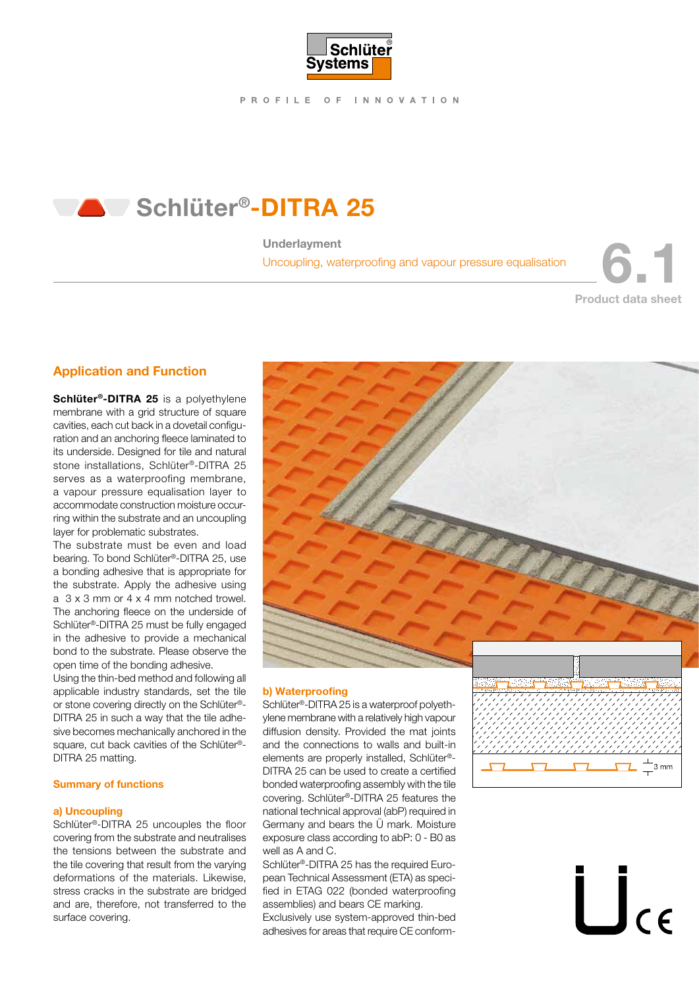

# Schlüter®-DITRA 25

### Underlayment

Uncoupling, waterproofing and vapour pressure equalisation 6.11 m

Product data sheet

## Application and Function

Schlüter<sup>®</sup>-DITRA 25 is a polyethylene membrane with a grid structure of square cavities, each cut back in a dovetail configuration and an anchoring fleece laminated to its underside. Designed for tile and natural stone installations, Schlüter®-DITRA 25 serves as a waterproofing membrane, a vapour pressure equalisation layer to accommodate construction moisture occurring within the substrate and an uncoupling layer for problematic substrates.

The substrate must be even and load bearing. To bond Schlüter®-DITRA 25, use a bonding adhesive that is appropriate for the substrate. Apply the adhesive using a 3 x 3 mm or 4 x 4 mm notched trowel. The anchoring fleece on the underside of Schlüter®-DITRA 25 must be fully engaged in the adhesive to provide a mechanical bond to the substrate. Please observe the open time of the bonding adhesive.

Using the thin-bed method and following all applicable industry standards, set the tile or stone covering directly on the Schlüter®- DITRA 25 in such a way that the tile adhesive becomes mechanically anchored in the square, cut back cavities of the Schlüter®-DITRA 25 matting.

### Summary of functions

#### a) Uncoupling

Schlüter®-DITRA 25 uncouples the floor covering from the substrate and neutralises the tensions between the substrate and the tile covering that result from the varying deformations of the materials. Likewise, stress cracks in the substrate are bridged and are, therefore, not transferred to the surface covering.



### b) Waterproofing

Schlüter®-DITRA 25 is a waterproof polyethylene membrane with a relatively high vapour diffusion density. Provided the mat joints and the connections to walls and built-in elements are properly installed, Schlüter®- DITRA 25 can be used to create a certified bonded waterproofing assembly with the tile covering. Schlüter®-DITRA 25 features the national technical approval (abP) required in Germany and bears the Ü mark. Moisture exposure class according to abP: 0 - B0 as well as A and C.

Schlüter®-DITRA 25 has the required European Technical Assessment (ETA) as specified in ETAG 022 (bonded waterproofing assemblies) and bears CE marking.

Exclusively use system-approved thin-bed adhesives for areas that require CE conform-



 $\prod_{c \in \mathbb{Z}}$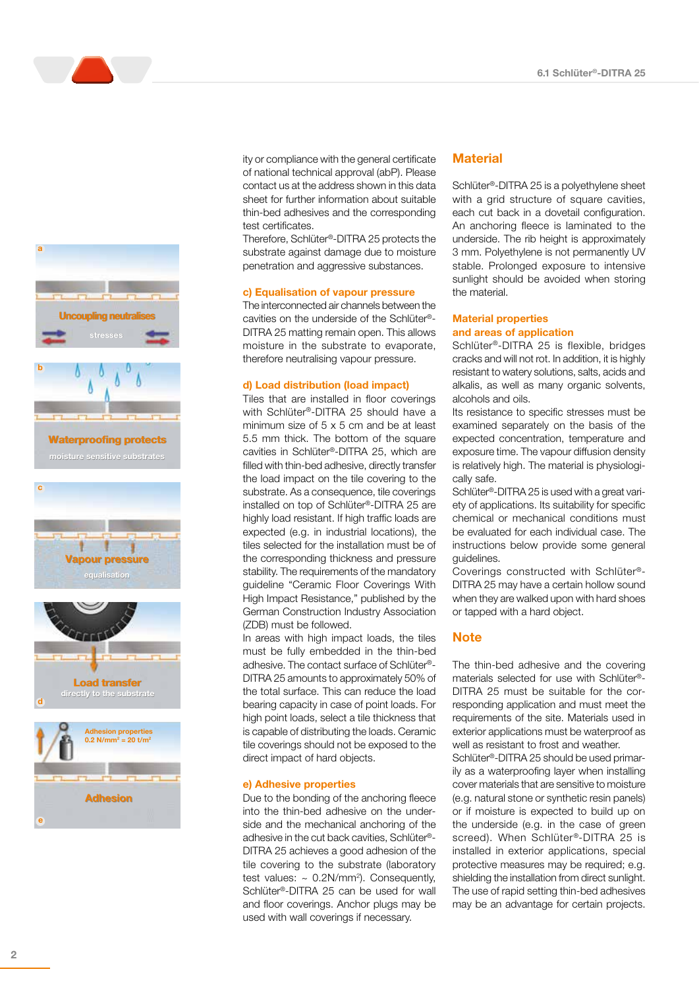

a

moisture sensitive substrates **Waterproofing protects** 







ity or compliance with the general certificate of national technical approval (abP). Please contact us at the address shown in this data sheet for further information about suitable thin-bed adhesives and the corresponding test certificates.

Therefore, Schlüter®-DITRA 25 protects the substrate against damage due to moisture penetration and aggressive substances.

#### c) Equalisation of vapour pressure

The interconnected air channels between the cavities on the underside of the Schlüter®- DITRA 25 matting remain open. This allows moisture in the substrate to evaporate, therefore neutralising vapour pressure.

#### d) Load distribution (load impact)

Tiles that are installed in floor coverings with Schlüter®-DITRA 25 should have a minimum size of 5 x 5 cm and be at least 5.5 mm thick. The bottom of the square cavities in Schlüter®-DITRA 25, which are filled with thin-bed adhesive, directly transfer the load impact on the tile covering to the substrate. As a consequence, tile coverings installed on top of Schlüter®-DITRA 25 are highly load resistant. If high traffic loads are expected (e.g. in industrial locations), the tiles selected for the installation must be of the corresponding thickness and pressure stability. The requirements of the mandatory guideline "Ceramic Floor Coverings With High Impact Resistance," published by the German Construction Industry Association (ZDB) must be followed.

In areas with high impact loads, the tiles must be fully embedded in the thin-bed adhesive. The contact surface of Schlüter®- DITRA 25 amounts to approximately 50% of the total surface. This can reduce the load bearing capacity in case of point loads. For high point loads, select a tile thickness that is capable of distributing the loads. Ceramic tile coverings should not be exposed to the direct impact of hard objects.

#### e) Adhesive properties

Due to the bonding of the anchoring fleece into the thin-bed adhesive on the underside and the mechanical anchoring of the adhesive in the cut back cavities, Schlüter®- DITRA 25 achieves a good adhesion of the tile covering to the substrate (laboratory test values:  $\sim 0.2$ N/mm<sup>2</sup>). Consequently, Schlüter®-DITRA 25 can be used for wall and floor coverings. Anchor plugs may be used with wall coverings if necessary.

### **Material**

Schlüter®-DITRA 25 is a polyethylene sheet with a grid structure of square cavities, each cut back in a dovetail configuration. An anchoring fleece is laminated to the underside. The rib height is approximately 3 mm. Polyethylene is not permanently UV stable. Prolonged exposure to intensive sunlight should be avoided when storing the material.

#### Material properties and areas of application

Schlüter®-DITRA 25 is flexible, bridges cracks and will not rot. In addition, it is highly resistant to watery solutions, salts, acids and alkalis, as well as many organic solvents, alcohols and oils.

Its resistance to specific stresses must be examined separately on the basis of the expected concentration, temperature and exposure time. The vapour diffusion density is relatively high. The material is physiologically safe.

Schlüter®-DITRA 25 is used with a great variety of applications. Its suitability for specific chemical or mechanical conditions must be evaluated for each individual case. The instructions below provide some general guidelines.

Coverings constructed with Schlüter®- DITRA 25 may have a certain hollow sound when they are walked upon with hard shoes or tapped with a hard object.

### **Note**

The thin-bed adhesive and the covering materials selected for use with Schlüter®- DITRA 25 must be suitable for the corresponding application and must meet the requirements of the site. Materials used in exterior applications must be waterproof as well as resistant to frost and weather.

Schlüter®-DITRA 25 should be used primarily as a waterproofing layer when installing cover materials that are sensitive to moisture (e.g. natural stone or synthetic resin panels) or if moisture is expected to build up on the underside (e.g. in the case of green screed). When Schlüter®-DITRA 25 is installed in exterior applications, special protective measures may be required; e.g. shielding the installation from direct sunlight. The use of rapid setting thin-bed adhesives may be an advantage for certain projects.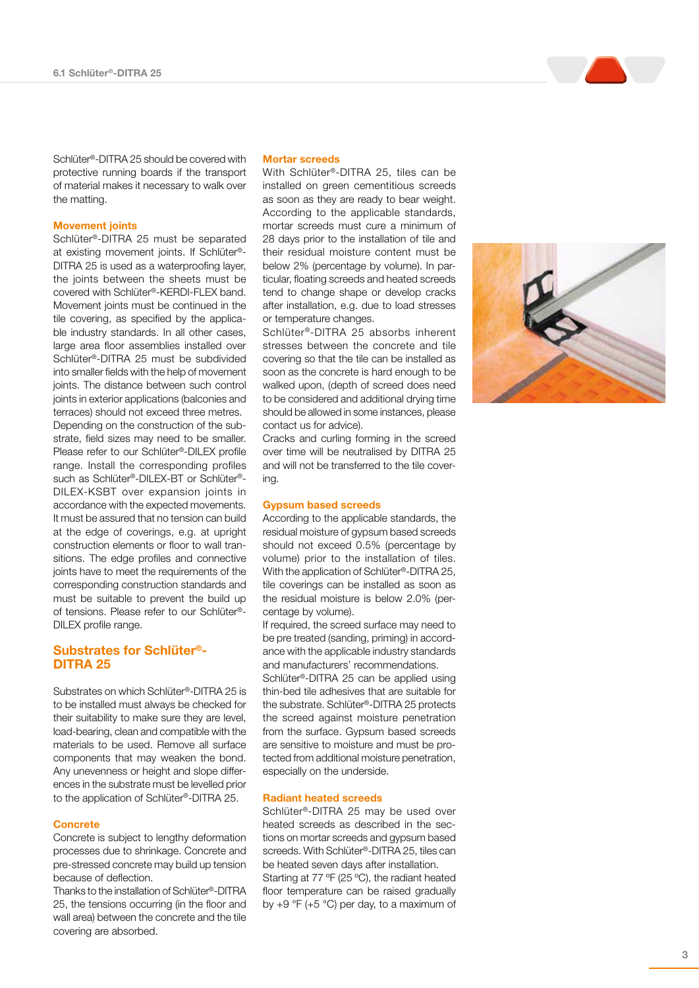Schlüter ®-DITRA 25 should be covered with protective running boards if the transport of material makes it necessary to walk over the matting.

#### Movement joints

Schlüter ®-DITRA 25 must be separated at existing movement joints. If Schlüter ® - DITRA 25 is used as a waterproofing layer, the joints between the sheets must be covered with Schlüter ®-KERDI-FLEX band. Movement joints must be continued in the tile covering, as specified by the applica ble industry standards. In all other cases, large area floor assemblies installed over Schlüter ®-DITRA 25 must be subdivided into smaller fields with the help of movement joints. The distance between such control joints in exterior applications (balconies and terraces) should not exceed three metres. Depending on the construction of the sub strate, field sizes may need to be smaller. Please refer to our Schlüter ®-DILEX profile range. Install the corresponding profiles such as Schlüter®-DILEX-BT or Schlüter®-DILEX-KSBT over expansion joints in accordance with the expected movements. It must be assured that no tension can build at the edge of coverings, e.g. at upright construction elements or floor to wall tran sitions. The edge profiles and connective joints have to meet the requirements of the corresponding construction standards and must be suitable to prevent the build up of tensions. Please refer to our Schlüter ® - DILEX profile range.

### Substrates for Schlüter<sup>®</sup>-DITRA 25

Substrates on which Schlüter ®-DITRA 25 is to be installed must always be checked for their suitability to make sure they are level, load-bearing, clean and compatible with the materials to be used. Remove all surface components that may weaken the bond. Any unevenness or height and slope differ ences in the substrate must be levelled prior to the application of Schlüter ®-DITRA 25.

#### **Concrete**

Concrete is subject to lengthy deformation processes due to shrinkage. Concrete and pre-stressed concrete may build up tension because of deflection.

Thanks to the installation of Schlüter®-DITRA 25, the tensions occurring (in the floor and wall area) between the concrete and the tile covering are absorbed.

#### Mortar screeds

With Schlüter ®-DITRA 25, tiles can be installed on green cementitious screeds as soon as they are ready to bear weight. According to the applicable standards, mortar screeds must cure a minimum of 28 days prior to the installation of tile and their residual moisture content must be below 2% (percentage by volume). In par ticular, floating screeds and heated screeds tend to change shape or develop cracks after installation, e.g. due to load stresses or temperature changes.

Schlüter ®-DITRA 25 absorbs inherent stresses between the concrete and tile covering so that the tile can be installed as soon as the concrete is hard enough to be walked upon, (depth of screed does need to be considered and additional drying time should be allowed in some instances, please contact us for advice).

Cracks and curling forming in the screed over time will be neutralised by DITRA 25 and will not be transferred to the tile cover ing.

#### Gypsum based screeds

According to the applicable standards, the residual moisture of gypsum based screeds should not exceed 0.5% (percentage by volume) prior to the installation of tiles. With the application of Schlüter ®-DITRA 25, tile coverings can be installed as soon as the residual moisture is below 2.0% (per centage by volume).

If required, the screed surface may need to be pre treated (sanding, priming) in accord ance with the applicable industry standards and manufacturers' recommendations.

Schlüter ®-DITRA 25 can be applied using thin-bed tile adhesives that are suitable for the substrate. Schlüter ®-DITRA 25 protects the screed against moisture penetration from the surface. Gypsum based screeds are sensitive to moisture and must be pro tected from additional moisture penetration, especially on the underside.

#### Radiant heated screeds

Schlüter ®-DITRA 25 may be used over heated screeds as described in the sec tions on mortar screeds and gypsum based screeds. With Schlüter ®-DITRA 25, tiles can be heated seven days after installation. Starting at 77 ºF (25 ºC), the radiant heated floor temperature can be raised gradually by  $+9$  °F ( $+5$  °C) per day, to a maximum of

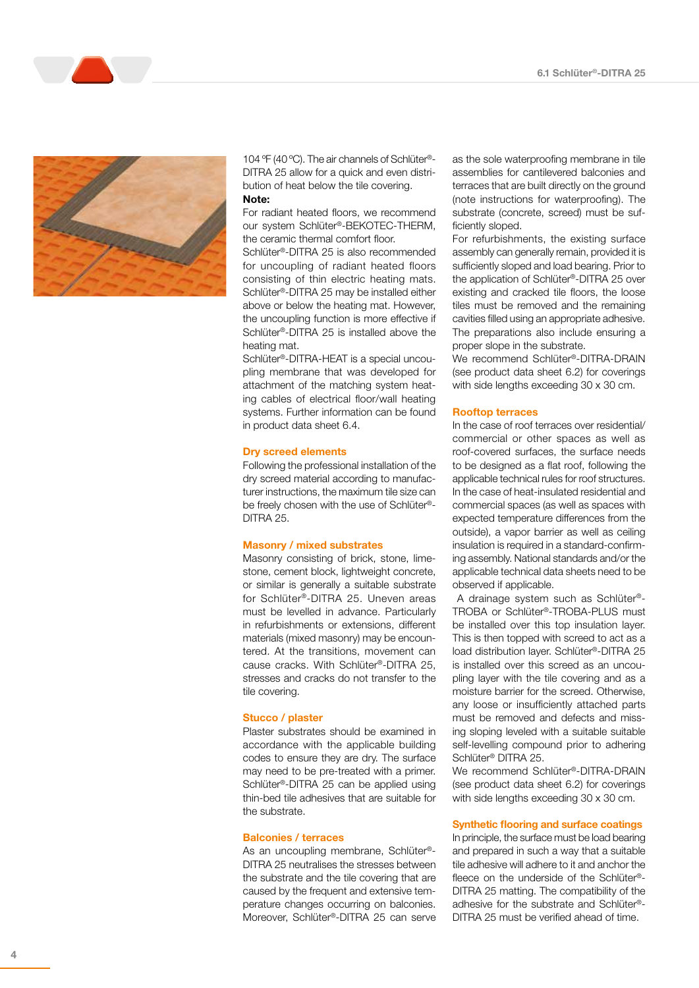



104 ºF (40 ºC). The air channels of Schlüter® - DITRA 25 allow for a quick and even distri bution of heat below the tile covering. Note:

For radiant heated floors, we recommend our system Schlüter ®-BEKOTEC-THERM, the ceramic thermal comfort floor.

Schlüter ®-DITRA 25 is also recommended for uncoupling of radiant heated floors consisting of thin electric heating mats. Schlüter ®-DITRA 25 may be installed either above or below the heating mat. However, the uncoupling function is more effective if Schlüter ®-DITRA 25 is installed above the heating mat.

Schlüter ®-DITRA-HEAT is a special uncou pling membrane that was developed for attachment of the matching system heat ing cables of electrical floor/wall heating systems. Further information can be found in product data sheet 6.4.

#### Dry screed elements

Following the professional installation of the dry screed material according to manufac turer instructions, the maximum tile size can be freely chosen with the use of Schlüter<sup>®</sup>-DITRA 25.

#### Masonry / mixed substrates

Masonry consisting of brick, stone, lime stone, cement block, lightweight concrete, or similar is generally a suitable substrate for Schlüter ®-DITRA 25. Uneven areas must be levelled in advance. Particularly in refurbishments or extensions, different materials (mixed masonry) may be encoun tered. At the transitions, movement can cause cracks. With Schlüter ®-DITRA 25, stresses and cracks do not transfer to the tile covering.

#### Stucco / plaster

Plaster substrates should be examined in accordance with the applicable building codes to ensure they are dry. The surface may need to be pre-treated with a primer. Schlüter ®-DITRA 25 can be applied using thin-bed tile adhesives that are suitable for the substrate.

#### Balconies / terraces

As an uncoupling membrane, Schlüter<sup>®</sup>-DITRA 25 neutralises the stresses between the substrate and the tile covering that are caused by the frequent and extensive tem perature changes occurring on balconies. Moreover, Schlüter ®-DITRA 25 can serve as the sole waterproofing membrane in tile assemblies for cantilevered balconies and terraces that are built directly on the ground (note instructions for waterproofing). The substrate (concrete, screed) must be suf ficiently sloped.

For refurbishments, the existing surface assembly can generally remain, provided it is sufficiently sloped and load bearing. Prior to the application of Schlüter ®-DITRA 25 over existing and cracked tile floors, the loose tiles must be removed and the remaining cavities filled using an appropriate adhesive. The preparations also include ensuring a proper slope in the substrate.

We recommend Schlüter ®-DITRA-DRAIN (see product data sheet 6.2) for coverings with side lengths exceeding 30 x 30 cm.

#### Rooftop terraces

In the case of roof terraces over residential/ commercial or other spaces as well as roof-covered surfaces, the surface needs to be designed as a flat roof, following the applicable technical rules for roof structures. In the case of heat-insulated residential and commercial spaces (as well as spaces with expected temperature differences from the outside), a vapor barrier as well as ceiling insulation is required in a standard-confirm ing assembly. National standards and/or the applicable technical data sheets need to be observed if applicable.

 A drainage system such as Schlüter ® - TROBA or Schlüter ®-TROBA-PLUS must be installed over this top insulation layer. This is then topped with screed to act as a load distribution layer. Schlüter ®-DITRA 25 is installed over this screed as an uncou pling layer with the tile covering and as a moisture barrier for the screed. Otherwise, any loose or insufficiently attached parts must be removed and defects and miss ing sloping leveled with a suitable suitable self-levelling compound prior to adhering Schlüter ® DITRA 25.

We recommend Schlüter ®-DITRA-DRAIN (see product data sheet 6.2) for coverings with side lengths exceeding 30 x 30 cm.

#### Synthetic flooring and surface coatings

In principle, the surface must be load bearing and prepared in such a way that a suitable tile adhesive will adhere to it and anchor the fleece on the underside of the Schlüter®-DITRA 25 matting. The compatibility of the adhesive for the substrate and Schlüter ® - DITRA 25 must be verified ahead of time.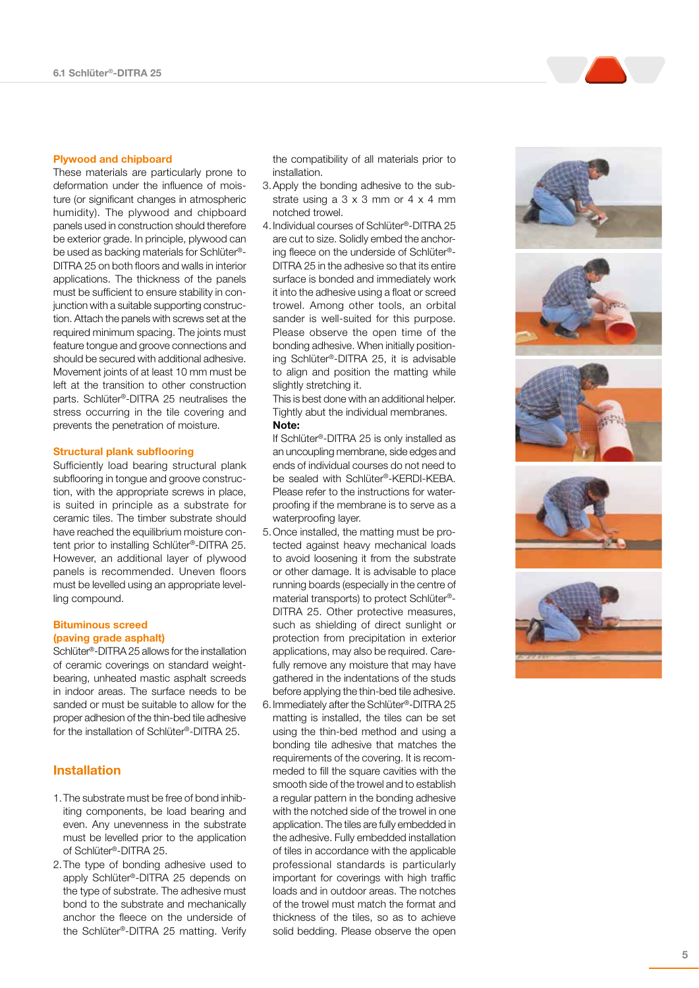#### Plywood and chipboard

These materials are particularly prone to deformation under the influence of mois ture (or significant changes in atmospheric humidity). The plywood and chipboard panels used in construction should therefore be exterior grade. In principle, plywood can be used as backing materials for Schlüter ® - DITRA 25 on both floors and walls in interior applications. The thickness of the panels must be sufficient to ensure stability in con junction with a suitable supporting construc tion. Attach the panels with screws set at the required minimum spacing. The joints must feature tongue and groove connections and should be secured with additional adhesive. Movement joints of at least 10 mm must be left at the transition to other construction parts. Schlüter ®-DITRA 25 neutralises the stress occurring in the tile covering and prevents the penetration of moisture.

#### Structural plank subflooring

Sufficiently load bearing structural plank subflooring in tongue and groove construc tion, with the appropriate screws in place, is suited in principle as a substrate for ceramic tiles. The timber substrate should have reached the equilibrium moisture con tent prior to installing Schlüter ®-DITRA 25. However, an additional layer of plywood panels is recommended. Uneven floors must be levelled using an appropriate level ling compound.

### Bituminous screed (paving grade asphalt)

Schlüter®-DITRA 25 allows for the installation of ceramic coverings on standard weightbearing, unheated mastic asphalt screeds in indoor areas. The surface needs to be sanded or must be suitable to allow for the proper adhesion of the thin-bed tile adhesive for the installation of Schlüter ®-DITRA 25.

### Installation

- 1.The substrate must be free of bond inhib iting components, be load bearing and even. Any unevenness in the substrate must be levelled prior to the application of Schlüter ®-DITRA 25.
- 2.The type of bonding adhesive used to apply Schlüter ®-DITRA 25 depends on the type of substrate. The adhesive must bond to the substrate and mechanically anchor the fleece on the underside of the Schlüter ®-DITRA 25 matting. Verify

the compatibility of all materials prior to installation.

- 3.Apply the bonding adhesive to the sub strate using a 3 x 3 mm or 4 x 4 mm notched trowel.
- 4.Individual courses of Schlüter ®-DITRA 25 are cut to size. Solidly embed the anchor ing fleece on the underside of Schlüter ® - DITRA 25 in the adhesive so that its entire surface is bonded and immediately work it into the adhesive using a float or screed trowel. Among other tools, an orbital sander is well-suited for this purpose. Please observe the open time of the bonding adhesive. When initially position ing Schlüter ®-DITRA 25, it is advisable to align and position the matting while slightly stretching it.

This is best done with an additional helper. Tightly abut the individual membranes. Note:

If Schlüter ®-DITRA 25 is only installed as an uncoupling membrane, side edges and ends of individual courses do not need to be sealed with Schlüter ®-KERDI-KEBA. Please refer to the instructions for water proofing if the membrane is to serve as a waterproofing layer.

- 5.Once installed, the matting must be pro tected against heavy mechanical loads to avoid loosening it from the substrate or other damage. It is advisable to place running boards (especially in the centre of material transports) to protect Schlüter ® - DITRA 25. Other protective measures, such as shielding of direct sunlight or protection from precipitation in exterior applications, may also be required. Care fully remove any moisture that may have gathered in the indentations of the studs before applying the thin-bed tile adhesive.
- 6.Immediately after the Schlüter ® -DITRA 25 matting is installed, the tiles can be set using the thin-bed method and using a bonding tile adhesive that matches the requirements of the covering. It is recom meded to fill the square cavities with the smooth side of the trowel and to establish a regular pattern in the bonding adhesive with the notched side of the trowel in one application. The tiles are fully embedded in the adhesive. Fully embedded installation of tiles in accordance with the applicable professional standards is particularly important for coverings with high traffic loads and in outdoor areas. The notches of the trowel must match the format and thickness of the tiles, so as to achieve solid bedding. Please observe the open

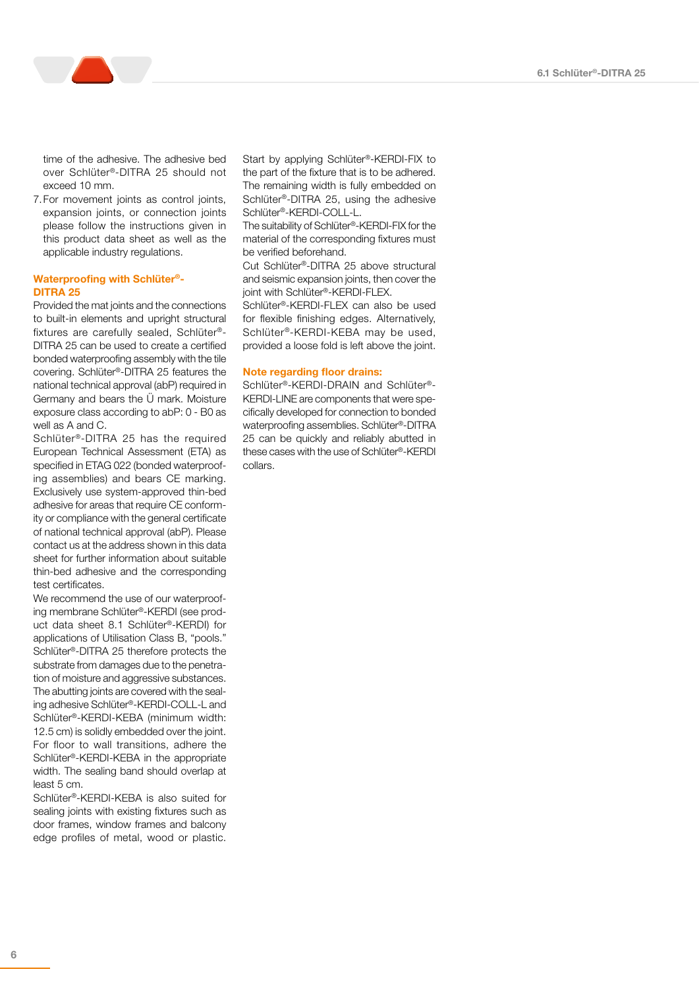time of the adhesive. The adhesive bed over Schlüter®-DITRA 25 should not exceed 10 mm.

7.For movement joints as control joints, expansion joints, or connection joints please follow the instructions given in this product data sheet as well as the applicable industry regulations.

### Waterproofing with Schlüter®- DITRA 25

Provided the mat joints and the connections to built-in elements and upright structural fixtures are carefully sealed, Schlüter®- DITRA 25 can be used to create a certified bonded waterproofing assembly with the tile covering. Schlüter®-DITRA 25 features the national technical approval (abP) required in Germany and bears the Ü mark. Moisture exposure class according to abP: 0 - B0 as well as A and C.

Schlüter®-DITRA 25 has the required European Technical Assessment (ETA) as specified in ETAG 022 (bonded waterproofing assemblies) and bears CE marking. Exclusively use system-approved thin-bed adhesive for areas that require CE conformity or compliance with the general certificate of national technical approval (abP). Please contact us at the address shown in this data sheet for further information about suitable thin-bed adhesive and the corresponding test certificates.

We recommend the use of our waterproofing membrane Schlüter®-KERDI (see product data sheet 8.1 Schlüter®-KERDI) for applications of Utilisation Class B, "pools." Schlüter®-DITRA 25 therefore protects the substrate from damages due to the penetration of moisture and aggressive substances. The abutting joints are covered with the sealing adhesive Schlüter®-KERDI-COLL-L and Schlüter®-KERDI-KEBA (minimum width: 12.5 cm) is solidly embedded over the joint. For floor to wall transitions, adhere the Schlüter®-KERDI-KEBA in the appropriate width. The sealing band should overlap at least 5 cm.

Schlüter®-KERDI-KEBA is also suited for sealing joints with existing fixtures such as door frames, window frames and balcony edge profiles of metal, wood or plastic. Start by applying Schlüter®-KERDI-FIX to the part of the fixture that is to be adhered. The remaining width is fully embedded on Schlüter®-DITRA 25, using the adhesive Schlüter®-KERDI-COLL-L.

The suitability of Schlüter®-KERDI-FIX for the material of the corresponding fixtures must be verified beforehand.

Cut Schlüter®-DITRA 25 above structural and seismic expansion joints, then cover the joint with Schlüter®-KERDI-FLEX.

Schlüter®-KERDI-FLEX can also be used for flexible finishing edges. Alternatively, Schlüter®-KERDI-KEBA may be used, provided a loose fold is left above the joint.

#### Note regarding floor drains:

Schlüter®-KERDI-DRAIN and Schlüter®- KERDI-LINE are components that were specifically developed for connection to bonded waterproofing assemblies. Schlüter®-DITRA 25 can be quickly and reliably abutted in these cases with the use of Schlüter®-KERDI collars.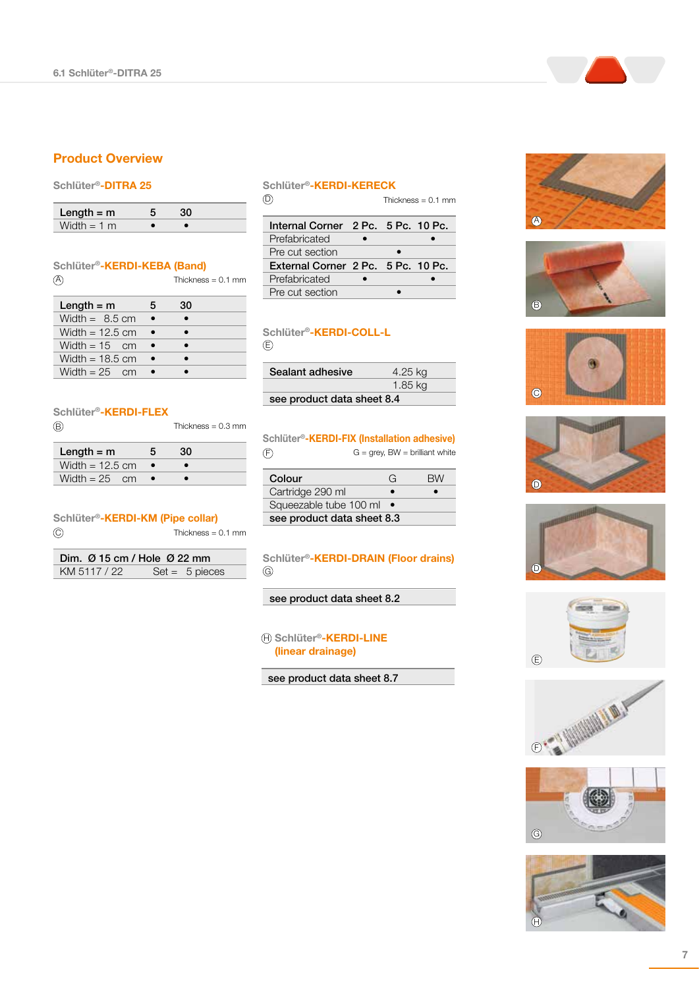### Product Overview

### Schlüter®-DITRA 25

| Length $=$ m  |  |  |
|---------------|--|--|
| Width $= 1$ m |  |  |

Schlüter®-KERDI-KEBA (Band) Thickness =  $0.1$  mm Length =  $m$  5 30 Width =  $8.5 \text{ cm}$  • • Width =  $12.5 \text{ cm}$  • • Width =  $15$  cm • • Width =  $18.5$  cm  $\bullet$   $\bullet$  $(A)$ 

#### Schlüter®-KERDI-FLEX

Width =  $25$  cm • •

| $\circledR$ | Thickness = $0.3$ mm |
|-------------|----------------------|
|             |                      |

| Length $=$ m      |  |  |
|-------------------|--|--|
| Width = $12.5$ cm |  |  |
| Width = $25$ cm   |  |  |

#### Schlüter®-KERDI-KM (Pipe collar) Thickness = 0.1 mm  $\odot$

| Dim. $\varnothing$ 15 cm / Hole $\varnothing$ 22 mm |                  |
|-----------------------------------------------------|------------------|
| KM 5117 / 22                                        | $Set = 5$ pieces |

### Schlüter®-KERDI-KERECK

 $\circledcirc$ 

Thickness = 0.1 mm

| Internal Corner 2 Pc. 5 Pc. 10 Pc. |  |  |
|------------------------------------|--|--|
| Prefabricated                      |  |  |
| Pre cut section                    |  |  |
|                                    |  |  |
| External Corner 2 Pc. 5 Pc. 10 Pc. |  |  |
| Prefabricated                      |  |  |

### Schlüter®-KERDI-COLL-L E

| Sealant adhesive           | 4.25 kg |  |
|----------------------------|---------|--|
|                            | 1.85 kg |  |
| see product data sheet 8.4 |         |  |

Schlüter®-KERDI-FIX (Installation adhesive)  $G =$  grey,  $BW =$  brilliant white  $\circledF$ 

| Colour                     | G | <b>BW</b> |
|----------------------------|---|-----------|
| Cartridge 290 ml           |   |           |
| Squeezable tube 100 ml     |   |           |
| see product data sheet 8.3 |   |           |

### Schlüter®-KERDI-DRAIN (Floor drains)  $\circledS$

### see product data sheet 8.2

### $\oplus$  **Schlüter®-KERDI-LINE** (linear drainage)

#### see product data sheet 8.7